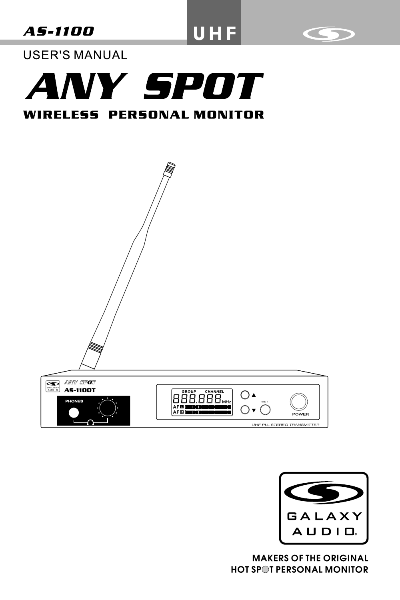**AS-1100** 

UHF



**USER'S MANUAL** 







**MAKERS OF THE ORIGINAL HOT SPOT PERSONAL MONITOR**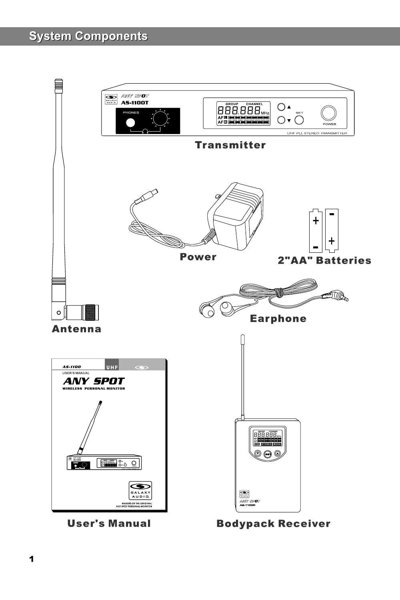## **System Components**



**User's Manual** 

**Bodypack Receiver**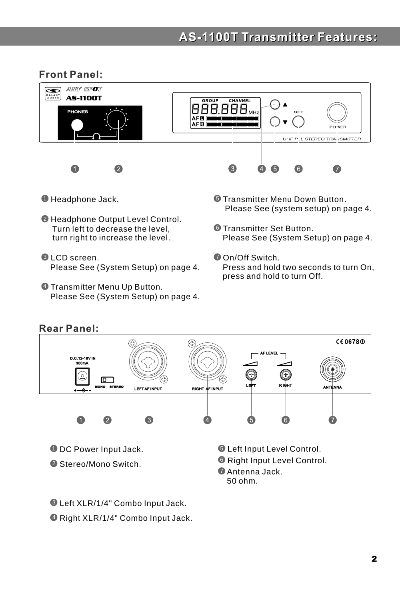## **AS-1100T Transmitter Features:**

### Front Panel:



- $\blacksquare$  Headphone Jack.
- Headphone Output Level Control. 2 Turn left to decrease the level, turn right to increase the level.
- LCD screen. 3 Please See (System Setup) on page 4.
- Transmitter Menu Up Button. 4 Please See (System Setup) on page 4.
- Transmitter Menu Down Button. 5 Please See (system setup) on page 4.
- **© Transmitter Set Button.** Please See (System Setup) on page 4.
- On/Off Switch. 7 Press and hold two seconds to turn On, press and hold to turn Off.



- **D** DC Power Input Jack.
- Stereo/Mono Switch. 2

 Left Input Level Control. 5 Right Input Level Control. 6 Antenna Jack. 7

50 ohm.

Left XLR/1/4" Combo Input Jack. 3

Right XLR/1/4" Combo Input Jack. 4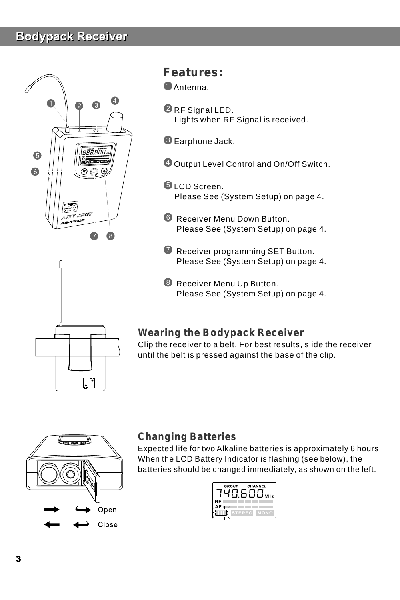## **Bodypack Receiver**



## **Features:**

Antenna. 1

- $\mathcal Q$  RF Signal LED. Lights when RF Signal is received.
- $\blacksquare$  Earphone Jack.
- Output Level Control and On/Off Switch. 4
- **J** LCD Screen. Please See (System Setup) on page 4.
- Receiver Menu Down Button. 6 Please See (System Setup) on page 4.
- **7** Receiver programming SET Button. Please See (System Setup) on page 4.
- **B** Receiver Menu Up Button. Please See (System Setup) on page 4.

## **Wearing the Bodypack Receiver**

Clip the receiver to a belt. For best results, slide the receiver until the belt is pressed against the base of the clip.



 $\begin{bmatrix} 1 \\ 0 \end{bmatrix}$ 

## **Changing Batteries**

Expected life for two Alkaline batteries is approximately 6 hours. When the LCD Battery Indicator is flashing (see below), the batteries should be changed immediately, as shown on the left.

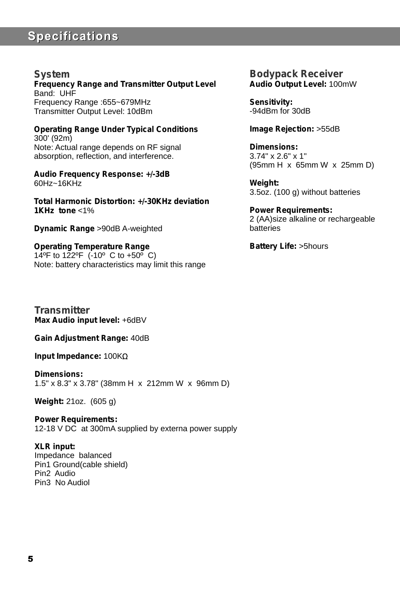## **Specifications**

#### **System**

**Frequency Range and Transmitter Output Level** Band: UHF Frequency Range :655~679MHz Transmitter Output Level: 10dBm

**Operating Range Under Typical Conditions** 300' (92m) Note: Actual range depends on RF signal absorption, reflection, and interference.

**Audio Frequency Response: +/-3dB** 60Hz~16KHz

**Total Harmonic Distortion: +/-30KHz deviation 1KHz tone** <1%

**Dynamic Range** >90dB A-weighted

**Operating Temperature Range** 14ºF to 122ºF (-10º C to +50º C) Note: battery characteristics may limit this range

**Transmitter Max Audio input level:**  +6dBV

**Gain Adjustment Range:** 40dB

**Input Impedance:** 100K

**Dimensions:** 1.5" x 8.3" x 3.78" (38mm H x 212mm W x 96mm D)

**Weight:** 21oz. (605 g)

**Power Requirements:** 12-18 V DC at 300mA supplied by externa power supply

**XLR input:** Impedance balanced Pin1 Ground(cable shield) Pin2 Audio Pin3 No Audiol

**Bodypack Receiver Audio Output Level:** 100mW

**Sensitivity:** -94dBm for 30dB

**Image Rejection:** >55dB

**Dimensions:** 3.74" x 2.6" x 1" (95mm H x 65mm W x 25mm D)

**Weight:** 3.5oz. (100 g) without batteries

**Power Requirements:** 2 (AA)size alkaline or rechargeable batteries

**Battery Life:** >5hours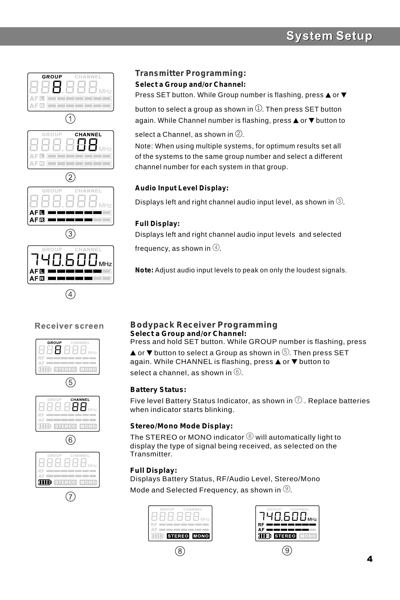## **System Setup**



#### Receiver screen

 $\left( 4\right)$ 











#### **Transmitter Programming:**

**Select a Group and/or Channel:**

Press SET button. While Group number is flashing, press  $\triangle$  or  $\nabla$ 

button to select a group as shown in  $\mathbb{U}.$  Then press SET button again. While Channel number is flashing, press  $\triangle$  or  $\nabla$  button to

#### select a Channel, as shown in  $\heartsuit$ .

Note: When using multiple systems, for optimum results set all of the systems to the same group number and select a different channel number for each system in that group.

#### **Audio Input Level Display:**

Displays left and right channel audio input level, as shown in  $\mathbb{G}.$ 

#### **Full Display:**

Displays left and right channel audio input levels and selected

frequency, as shown in  $\circledast$ .

**Note:** Adjust audio input levels to peak on only the loudest signals.

#### **Bodypack Receiver Programming Select a Group and/or Channel:**

Press and hold SET button. While GROUP number is flashing, press or  $\blacktriangledown$  button to select a Group as shown in  $\circledcirc$ . Then press SET again. While CHANNEL is flashing, press  $\triangle$  or  $\nabla$  button to

select a channel, as shown in  $@$ .

#### **Battery Status:**

Five level Battery Status Indicator, as shown in  $\mathbb U$  . Replace batteries when indicator starts blinking.

#### **Stereo/Mono Mode Display:**

The STEREO or MONO indicator  $\circledS$  will automatically light to display the type of signal being received, as selected on the Transmitter.

#### **Full Display:**

Displays Battery Status, RF/Audio Level, Stereo/Mono Mode and Selected Frequency, as shown in  $@.$ 



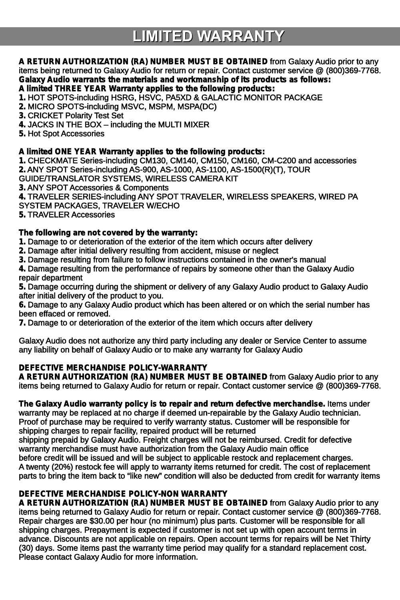# **LIMITED WARRANTY**

#### **A RETURN AUTHORIZATION (RA) NUMBER MUST BE OBTAINED** from Galaxy Audio prior to any items being returned to Galaxy Audio for return or repair. Contact customer service @ (800)369-7768. **Galaxy Audio warrants the materials and workmanship of its products as follows: A limited THREE YEAR Warranty applies to the following products:**

#### **1.** HOT SPOTS-including HSRG, HSVC, PA5XD & GALACTIC MONITOR PACKAGE

**2.** MICRO SPOTS-including MSVC, MSPM, MSPA(DC)

**3.** CRICKET Polarity Test Set

**4.** JACKS IN THE BOX – including the MULTI MIXER

**5.** Hot Spot Accessories

#### **A limited ONE YEAR Warranty applies to the following products:**

**1.** CHECKMATE Series-including CM130, CM140, CM150, CM160, CM-C200 and accessories **2.** ANY SPOT Series-including AS-900, AS-1000, AS-1100, AS-1500(R)(T), TOUR

GUIDE/TRANSLATOR SYSTEMS, WIRELESS CAMERA KIT

**3.** ANY SPOT Accessories & Components

**4.** TRAVELER SERIES-including ANY SPOT TRAVELER, WIRELESS SPEAKERS, WIRED PA SYSTEM PACKAGES, TRAVELER W/ECHO

**5.** TRAVELER Accessories

#### **The following are not covered by the warranty:**

**1.** Damage to or deterioration of the exterior of the item which occurs after delivery

**2.** Damage after initial delivery resulting from accident, misuse or neglect

**3.** Damage resulting from failure to follow instructions contained in the owner's manual

**4.** Damage resulting from the performance of repairs by someone other than the Galaxy Audio repair department

**5.** Damage occurring during the shipment or delivery of any Galaxy Audio product to Galaxy Audio after initial delivery of the product to you.

**6.** Damage to any Galaxy Audio product which has been altered or on which the serial number has been effaced or removed.

**7.** Damage to or deterioration of the exterior of the item which occurs after delivery

Galaxy Audio does not authorize any third party including any dealer or Service Center to assume any liability on behalf of Galaxy Audio or to make any warranty for Galaxy Audio

#### **DEFECTIVE MERCHANDISE POLICY-WARRANTY**

**A RETURN AUTHORIZATION (RA) NUMBER MUST BE OBTAINED** from Galaxy Audio prior to any items being returned to Galaxy Audio for return or repair. Contact customer service @ (800)369-7768.

#### **The Galaxy Audio warranty policy is to repair and return defective merchandise.** Items under

warranty may be replaced at no charge if deemed un-repairable by the Galaxy Audio technician. Proof of purchase may be required to verify warranty status. Customer will be responsible for shipping charges to repair facility, repaired product will be returned

shipping prepaid by Galaxy Audio. Freight charges will not be reimbursed. Credit for defective warranty merchandise must have authorization from the Galaxy Audio main office

before credit will be issued and will be subject to applicable restock and replacement charges. A twenty (20%) restock fee will apply to warranty items returned for credit. The cost of replacement parts to bring the item back to "like new" condition will also be deducted from credit for warranty items

#### **DEFECTIVE MERCHANDISE POLICY-NON WARRANTY**

**A RETURN AUTHORIZATION (RA) NUMBER MUST BE OBTAINED** from Galaxy Audio prior to any items being returned to Galaxy Audio for return or repair. Contact customer service @ (800)369-7768. Repair charges are \$30.00 per hour (no minimum) plus parts. Customer will be responsible for all shipping charges. Prepayment is expected if customer is not set up with open account terms in advance. Discounts are not applicable on repairs. Open account terms for repairs will be Net Thirty (30) days. Some items past the warranty time period may qualify for a standard replacement cost. Please contact Galaxy Audio for more information.